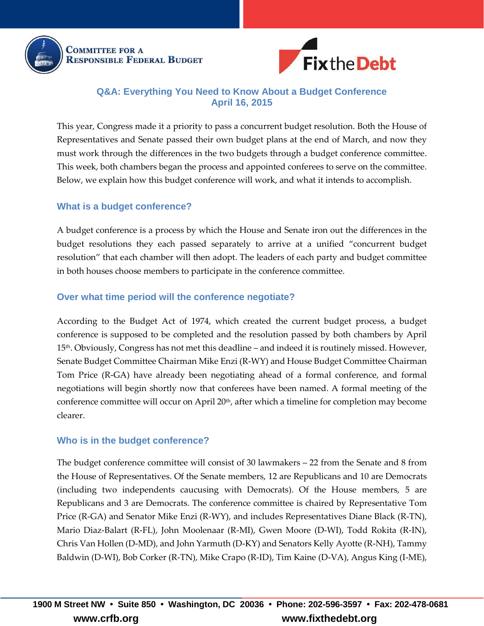

**COMMITTEE FOR A RESPONSIBLE FEDERAL BUDGET** 



## **Q&A: Everything You Need to Know About a Budget Conference April 16, 2015**

This year, Congress made it a priority to pass a concurrent budget resolution. Both the House of Representatives and Senate passed their own budget plans at the end of March, and now they must work through the differences in the two budgets through a budget conference committee. This week, both chambers began the process and appointed conferees to serve on the committee. Below, we explain how this budget conference will work, and what it intends to accomplish.

### **What is a budget conference?**

A budget conference is a process by which the House and Senate iron out the differences in the budget resolutions they each passed separately to arrive at a unified "concurrent budget resolution" that each chamber will then adopt. The leaders of each party and budget committee in both houses choose members to participate in the conference committee.

### **Over what time period will the conference negotiate?**

According to the Budget Act of 1974, which created the current budget process, a budget conference is supposed to be completed and the resolution passed by both chambers by April 15th. Obviously, Congress has not met this deadline – and indeed it is routinely missed. However, Senate Budget Committee Chairman Mike Enzi (R-WY) and House Budget Committee Chairman Tom Price (R-GA) have already been negotiating ahead of a formal conference, and formal negotiations will begin shortly now that conferees have been named. A formal meeting of the conference committee will occur on April 20<sup>th</sup>, after which a timeline for completion may become clearer.

### **Who is in the budget conference?**

The budget conference committee will consist of 30 lawmakers – 22 from the Senate and 8 from the House of Representatives. Of the Senate members, 12 are Republicans and 10 are Democrats (including two independents caucusing with Democrats). Of the House members, 5 are Republicans and 3 are Democrats. The conference committee is chaired by Representative Tom Price (R-GA) and Senator Mike Enzi (R-WY), and includes Representatives Diane Black (R-TN), Mario Diaz-Balart (R-FL), John Moolenaar (R-MI), Gwen Moore (D-WI), Todd Rokita (R-IN), Chris Van Hollen (D-MD), and John Yarmuth (D-KY) and Senators Kelly Ayotte (R-NH), Tammy Baldwin (D-WI), Bob Corker (R-TN), Mike Crapo (R-ID), Tim Kaine (D-VA), Angus King (I-ME),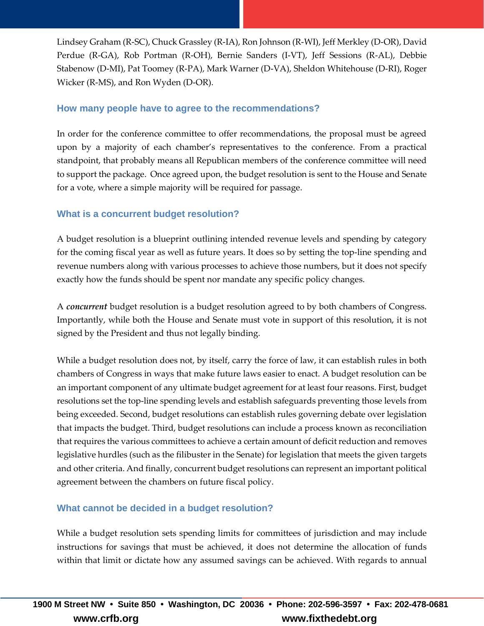Lindsey Graham (R-SC), Chuck Grassley (R-IA), Ron Johnson (R-WI), Jeff Merkley (D-OR), David Perdue (R-GA), Rob Portman (R-OH), Bernie Sanders (I-VT), Jeff Sessions (R-AL), Debbie Stabenow (D-MI), Pat Toomey (R-PA), Mark Warner (D-VA), Sheldon Whitehouse (D-RI), Roger Wicker (R-MS), and Ron Wyden (D-OR).

## **How many people have to agree to the recommendations?**

In order for the conference committee to offer recommendations, the proposal must be agreed upon by a majority of each chamber's representatives to the conference. From a practical standpoint, that probably means all Republican members of the conference committee will need to support the package. Once agreed upon, the budget resolution is sent to the House and Senate for a vote, where a simple majority will be required for passage.

## **What is a concurrent budget resolution?**

A budget resolution is a blueprint outlining intended revenue levels and spending by category for the coming fiscal year as well as future years. It does so by setting the top-line spending and revenue numbers along with various processes to achieve those numbers, but it does not specify exactly how the funds should be spent nor mandate any specific policy changes.

A *concurrent* budget resolution is a budget resolution agreed to by both chambers of Congress. Importantly, while both the House and Senate must vote in support of this resolution, it is not signed by the President and thus not legally binding.

While a budget resolution does not, by itself, carry the force of law, it can establish rules in both chambers of Congress in ways that make future laws easier to enact. A budget resolution can be an important component of any ultimate budget agreement for at least four reasons. First, budget resolutions set the top-line spending levels and establish safeguards preventing those levels from being exceeded. Second, budget resolutions can establish rules governing debate over legislation that impacts the budget. Third, budget resolutions can include a process known as reconciliation that requires the various committees to achieve a certain amount of deficit reduction and removes legislative hurdles (such as the filibuster in the Senate) for legislation that meets the given targets and other criteria. And finally, concurrent budget resolutions can represent an important political agreement between the chambers on future fiscal policy.

# **What cannot be decided in a budget resolution?**

While a budget resolution sets spending limits for committees of jurisdiction and may include instructions for savings that must be achieved, it does not determine the allocation of funds within that limit or dictate how any assumed savings can be achieved. With regards to annual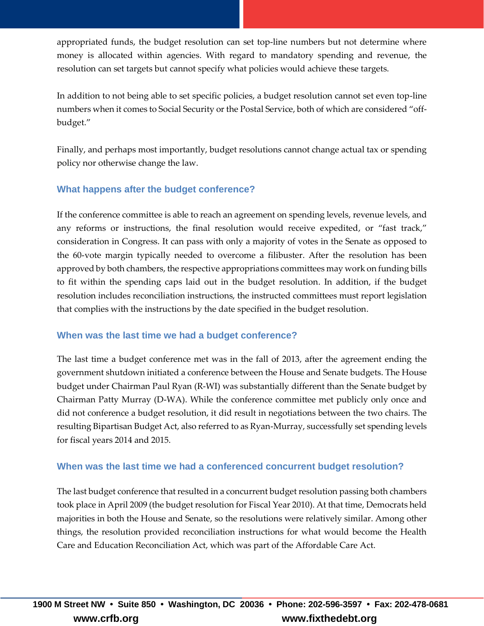appropriated funds, the budget resolution can set top-line numbers but not determine where money is allocated within agencies. With regard to mandatory spending and revenue, the resolution can set targets but cannot specify what policies would achieve these targets.

In addition to not being able to set specific policies, a budget resolution cannot set even top-line numbers when it comes to Social Security or the Postal Service, both of which are considered "offbudget."

Finally, and perhaps most importantly, budget resolutions cannot change actual tax or spending policy nor otherwise change the law.

# **What happens after the budget conference?**

If the conference committee is able to reach an agreement on spending levels, revenue levels, and any reforms or instructions, the final resolution would receive expedited, or "fast track," consideration in Congress. It can pass with only a majority of votes in the Senate as opposed to the 60-vote margin typically needed to overcome a filibuster. After the resolution has been approved by both chambers, the respective appropriations committees may work on funding bills to fit within the spending caps laid out in the budget resolution. In addition, if the budget resolution includes reconciliation instructions, the instructed committees must report legislation that complies with the instructions by the date specified in the budget resolution.

# **When was the last time we had a budget conference?**

The last time a budget conference met was in the fall of 2013, after the agreement ending the government shutdown initiated a conference between the House and Senate budgets. The House budget under Chairman Paul Ryan (R-WI) was substantially different than the Senate budget by Chairman Patty Murray (D-WA). While the conference committee met publicly only once and did not conference a budget resolution, it did result in negotiations between the two chairs. The resulting Bipartisan Budget Act, also referred to as Ryan-Murray, successfully set spending levels for fiscal years 2014 and 2015.

# **When was the last time we had a conferenced concurrent budget resolution?**

The last budget conference that resulted in a concurrent budget resolution passing both chambers took place in April 2009 (the budget resolution for Fiscal Year 2010). At that time, Democrats held majorities in both the House and Senate, so the resolutions were relatively similar. Among other things, the resolution provided reconciliation instructions for what would become the Health Care and Education Reconciliation Act, which was part of the Affordable Care Act.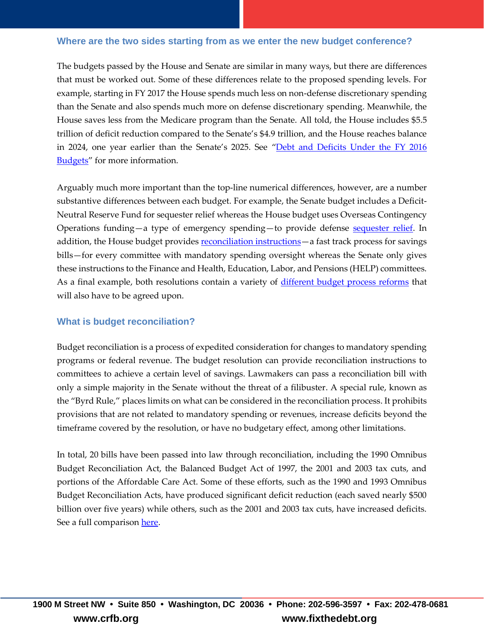#### **Where are the two sides starting from as we enter the new budget conference?**

The budgets passed by the House and Senate are similar in many ways, but there are differences that must be worked out. Some of these differences relate to the proposed spending levels. For example, starting in FY 2017 the House spends much less on non-defense discretionary spending than the Senate and also spends much more on defense discretionary spending. Meanwhile, the House saves less from the Medicare program than the Senate. All told, the House includes \$5.5 trillion of deficit reduction compared to the Senate's \$4.9 trillion, and the House reaches balance in 2024, one year earlier than the Senate's 2025. See "[Debt and Deficits Under the](http://crfb.org/blogs/debt-and-deficits-under-fy-2016-budgets) FY 2016 [Budgets](http://crfb.org/blogs/debt-and-deficits-under-fy-2016-budgets)" for more information.

Arguably much more important than the top-line numerical differences, however, are a number substantive differences between each budget. For example, the Senate budget includes a Deficit-Neutral Reserve Fund for sequester relief whereas the House budget uses Overseas Contingency Operations funding—a type of emergency spending—to provide defense [sequester relief.](http://crfb.org/blogs/sharpening-axe-how-house-and-senate-budgets-handle-sequester) In addition, the House budget provides [reconciliation instructions](http://crfb.org/blogs/reconcilia-what) - a fast track process for savings bills—for every committee with mandatory spending oversight whereas the Senate only gives these instructions to the Finance and Health, Education, Labor, and Pensions (HELP) committees. As a final example, both resolutions contain a variety of [different budget process reforms](http://crfb.org/blogs/budget-rules-process-house-and-senate-budgets) that will also have to be agreed upon.

### **What is budget reconciliation?**

Budget reconciliation is a process of expedited consideration for changes to mandatory spending programs or federal revenue. The budget resolution can provide reconciliation instructions to committees to achieve a certain level of savings. Lawmakers can pass a reconciliation bill with only a simple majority in the Senate without the threat of a filibuster. A special rule, known as the "Byrd Rule," places limits on what can be considered in the reconciliation process. It prohibits provisions that are not related to mandatory spending or revenues, increase deficits beyond the timeframe covered by the resolution, or have no budgetary effect, among other limitations.

In total, 20 bills have been passed into law through reconciliation, including the 1990 Omnibus Budget Reconciliation Act, the Balanced Budget Act of 1997, the 2001 and 2003 tax cuts, and portions of the Affordable Care Act. Some of these efforts, such as the 1990 and 1993 Omnibus Budget Reconciliation Acts, have produced significant deficit reduction (each saved nearly \$500 billion over five years) while others, such as the 2001 and 2003 tax cuts, have increased deficits. See a full comparison [here.](http://crfb.org/blogs/remember-remember-omnibus-budget-reconciliation-act-1990)